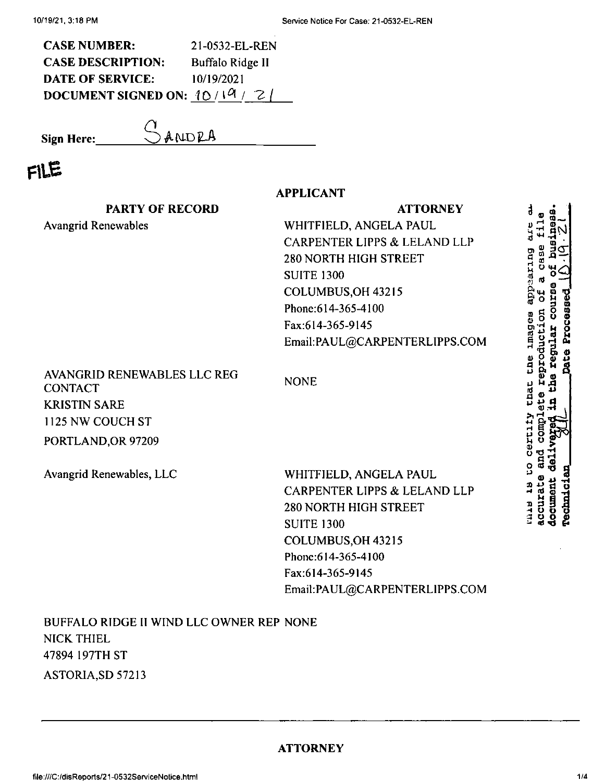| <b>CASE NUMBER:</b>            | 21-0532-EL-REN   |
|--------------------------------|------------------|
| <b>CASE DESCRIPTION:</b>       | Buffalo Ridge II |
| <b>DATE OF SERVICE:</b>        | 10/19/2021       |
| DOCUMENT SIGNED ON: $10/19/2/$ |                  |

Sign Here:

GANDRA

## FILE

|                                                                                                                | <b>APPLICANT</b>                                                                                                                                                                                             |                                                       |
|----------------------------------------------------------------------------------------------------------------|--------------------------------------------------------------------------------------------------------------------------------------------------------------------------------------------------------------|-------------------------------------------------------|
| <b>PARTY OF RECORD</b>                                                                                         | <b>ATTORNEY</b>                                                                                                                                                                                              |                                                       |
| <b>Avangrid Renewables</b>                                                                                     | WHITFIELD, ANGELA PAUL<br>CARPENTER LIPPS & LELAND LLP<br>280 NORTH HIGH STREET<br><b>SUITE 1300</b><br>COLUMBUS, OH 43215<br>Phone: 614-365-4100<br>Fax:614-365-9145<br>Email:PAUL@CARPENTERLIPPS.COM       | prizeccide<br>Processed<br>ទី<br>lmagee<br>eproducti  |
| AVANGRID RENEWABLES LLC REG<br><b>CONTACT</b><br><b>KRISTIN SARE</b><br>1125 NW COUCH ST<br>PORTLAND, OR 97209 | <b>NONE</b>                                                                                                                                                                                                  | <b>Date</b><br>the<br>Ĥ<br>Ă<br>Chat<br><b>CELLIN</b> |
| Avangrid Renewables, LLC                                                                                       | WHITFIELD, ANGELA PAUL<br>CARPENTER LIPPS & LELAND LLP<br><b>280 NORTH HIGH STREET</b><br><b>SUITE 1300</b><br>COLUMBUS OH 43215<br>Phone: 614-365-4100<br>Fax:614-365-9145<br>Email:PAUL@CARPENTERLIPPS.COM | <b>rechnici</b><br><b>Tomnor</b><br><b>NOON</b>       |
| BUFFALO RIDGE II WIND LLC OWNER REP NONE<br><b>NICK THIEL</b><br>47894 197TH ST                                |                                                                                                                                                                                                              |                                                       |

ASTORIA, SD 57213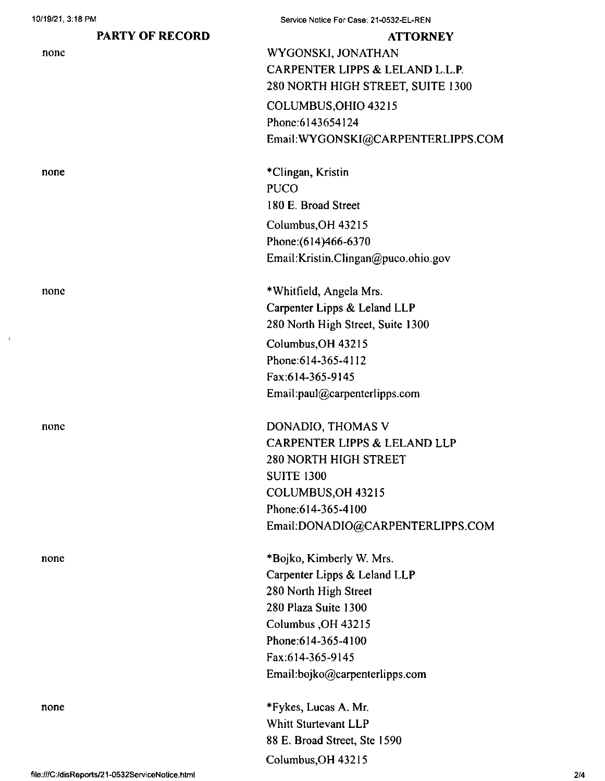## **PARTY OF RECORD**

| none |  |
|------|--|
|      |  |

none

none

none

none

none

Service Notice For Case: 21-0532-EL-REN

**ATTORNEY** WYGONSKI, JONATHAN CARPENTER LIPPS & LELAND L.L.P. 280 NORTH HIGH STREET, SUITE 1300 COLUMBUS,OHIO 43215 Phone:6143654124 EmaiI:WYGONSKI@CARPENTERLIPPS.COM

Columbus,OH 43215 Phone:(614)466-6370 \*Clingan, Kristin PUCO 180 E. Broad Street

Email:Kristin.Clingan@puco.ohio.gov

\*Whitfield, Angela Mrs. Carpenter Lipps & Leland LLP 280 North High Street, Suite 1300 Columbus,OH 43215 Phone:614-365-4112 Fax:614-365-9145 Email:paul@carpenterlipps.com

DONADIO, THOMAS V CARPENTER LIPPS & LELAND LLP 280 NORTH HIGH STREET SUITE 1300 COLUMBUS,OH 43215 Phone;614-365-4100 Email;DONADIO@CARPENTERLIPPS.COM

\*Bojko, Kimberly W. Mrs. Carpenter Lipps & Leland LLP 280 North High Street 280 Plaza Suite 1300 Columbus ,OH 43215 Phone:614-365-4100 Fax;614-365-9145 Email:bojko@carpenterlipps.com

\*Fykes, Lucas A. Mr. Whitt Sturtevant LLP 88 E. Broad Street, Ste 1590 Columbus,OH 43215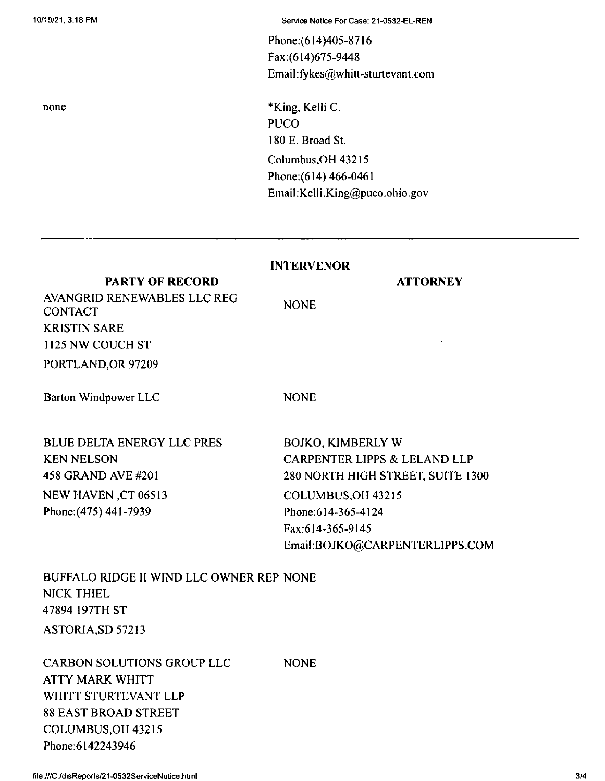none

Phone:(614)405-8716 Fax:(614)675-9448 Email:fykes@whitt-sturtevant.com

Columbus,OH 43215 Phone:(614) 466-0461 EmaiI:Kelli.King@puco.ohio.gov \*King, Kelli C. **PUCO** 180 E. Broad St.

## **INTERVENOR**

PORTLAND,OR 97209 **PARTY OF RECORD** AVANGRID RENEWABLES LLC REG CONTACT KRISTIN SARE 1125 NW COUCH ST

Barton Windpower LLC NONE

NONE

BLUE DELTA ENERGY LLC PRES KEN NELSON 458 GRAND AVE #201 NEW HAVEN ,CT 06513 Phone:(475) 441-7939

COLUMBUS,OH 43215 Phone:614-365-4124 Fax:614-365-9145 Email:BOJKO@CARPENTERLIPPS.COM BOJKO, KIMBERLY W CARPENTER LIPPS & LELAND LLP 280 NORTH HIGH STREET, SUITE 1300

**ATTORNEY**

ASTORIA,SD 57213 BUFFALO RIDGE II WIND LLC OWNER REP NONE NICK THIEL 47894 197TH ST

**NONE** CARBON SOLUTIONS GROUP LLC ATTY MARK WHITT WHITT STURTEVANT LLP 88 EAST BROAD STREET COLUMBUS,OH 43215 Phone:6142243946